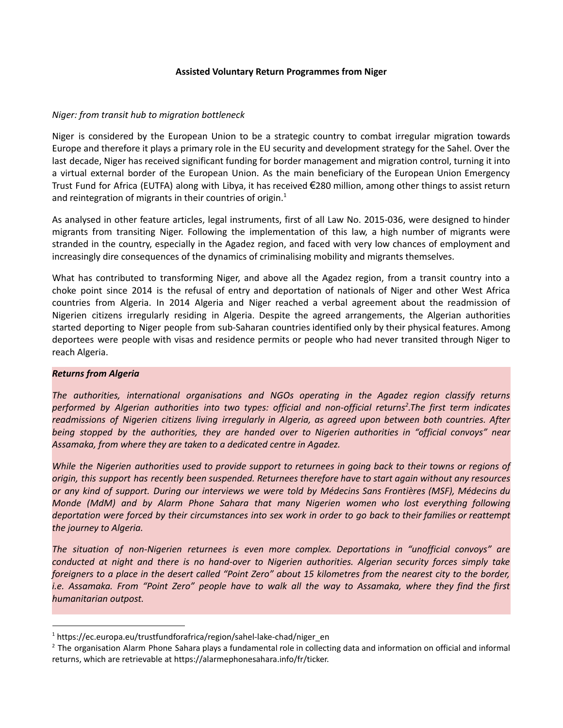#### **Assisted Voluntary Return Programmes from Niger**

#### *Niger: from transit hub to migration bottleneck*

Niger is considered by the European Union to be a strategic country to combat irregular migration towards Europe and therefore it plays a primary role in the EU security and development strategy for the Sahel. Over the last decade, Niger has received significant funding for border management and migration control, turning it into a virtual external border of the European Union. As the main beneficiary of the European Union Emergency Trust Fund for Africa (EUTFA) along with Libya, it has received €280 million, among other things to assist return and reintegration of migrants in their countries of origin.<sup>1</sup>

As analysed in other feature articles, legal instruments, first of all Law No. 2015-036, were designed to hinder migrants from transiting Niger. Following the implementation of this law, a high number of migrants were stranded in the country, especially in the Agadez region, and faced with very low chances of employment and increasingly dire consequences of the dynamics of criminalising mobility and migrants themselves.

What has contributed to transforming Niger, and above all the Agadez region, from a transit country into a choke point since 2014 is the refusal of entry and deportation of nationals of Niger and other West Africa countries from Algeria. In 2014 Algeria and Niger reached a verbal agreement about the readmission of Nigerien citizens irregularly residing in Algeria. Despite the agreed arrangements, the Algerian authorities started deporting to Niger people from sub-Saharan countries identified only by their physical features. Among deportees were people with visas and residence permits or people who had never transited through Niger to reach Algeria.

#### *Returns from Algeria*

*The authorities, international organisations and NGOs operating in the Agadez region classify returns performed by Algerian authorities into two types: official and non-official returns 2 .The first term indicates readmissions of Nigerien citizens living irregularly in Algeria, as agreed upon between both countries. After being stopped by the authorities, they are handed over to Nigerien authorities in "official convoys" near Assamaka, from where they are taken to a dedicated centre in Agadez.*

While the Nigerien authorities used to provide support to returnees in going back to their towns or regions of *origin, this support has recently been suspended. Returnees therefore have to start again without any resources* or any kind of support. During our interviews we were told by Médecins Sans Frontières (MSF), Médecins du *Monde (MdM) and by Alarm Phone Sahara that many Nigerien women who lost everything following* deportation were forced by their circumstances into sex work in order to go back to their families or reattempt *the journey to Algeria.*

*The situation of non-Nigerien returnees is even more complex. Deportations in "unofficial convoys" are conducted at night and there is no hand-over to Nigerien authorities. Algerian security forces simply take* foreigners to a place in the desert called "Point Zero" about 15 kilometres from the nearest city to the border, i.e. Assamaka. From "Point Zero" people have to walk all the way to Assamaka, where they find the first *humanitarian outpost.*

<sup>&</sup>lt;sup>1</sup> https://ec.europa.eu/trustfundforafrica/region/sahel-lake-chad/niger\_en

 $<sup>2</sup>$  The organisation Alarm Phone Sahara plays a fundamental role in collecting data and information on official and informal</sup> returns, which are retrievable at https://alarmephonesahara.info/fr/ticker.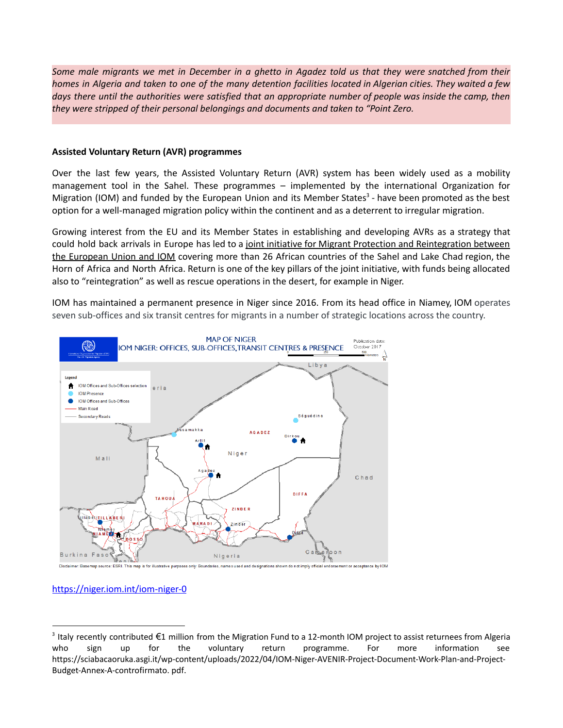Some male migrants we met in December in a ghetto in Agadez told us that they were snatched from their homes in Algeria and taken to one of the many detention facilities located in Algerian cities. They waited a few days there until the authorities were satisfied that an appropriate number of people was inside the camp, then *they were stripped of their personal belongings and documents and taken to "Point Zero.*

#### **Assisted Voluntary Return (AVR) programmes**

Over the last few years, the Assisted Voluntary Return (AVR) system has been widely used as a mobility management tool in the Sahel. These programmes – implemented by the international Organization for Migration (IOM) and funded by the European Union and its Member States<sup>3</sup> - have been promoted as the best option for a well-managed migration policy within the continent and as a deterrent to irregular migration.

Growing interest from the EU and its Member States in establishing and developing AVRs as a strategy that could hold back arrivals in Europe has led to a joint initiative for Migrant Protection and Reintegration between the European Union and IOM covering more than 26 African countries of the Sahel and Lake Chad region, the Horn of Africa and North Africa. Return is one of the key pillars of the joint initiative, with funds being allocated also to "reintegration" as well as rescue operations in the desert, for example in Niger.

IOM has maintained a permanent presence in Niger since 2016. From its head office in Niamey, IOM operates seven sub-offices and six transit centres for migrants in a number of strategic locations across the country.



# <https://niger.iom.int/iom-niger-0>

<sup>&</sup>lt;sup>3</sup> Italy recently contributed €1 million from the Migration Fund to a 12-month IOM project to assist returnees from Algeria who sign up for the voluntary return programme. For more information see [https://sciabacaoruka.asgi.it/wp-content/uploads/2022/04/IOM-Niger-AVENIR-Project-Document-Work-Plan-and-Project-](https://sciabacaoruka.asgi.it/wp-content/uploads/2022/04/IOM-Niger-AVENIR-Project-Document-Work-Plan-and-Project-Budget-Annex-A-controfirmato.%20pdf)[Budget-Annex-A-controfirmato.](https://sciabacaoruka.asgi.it/wp-content/uploads/2022/04/IOM-Niger-AVENIR-Project-Document-Work-Plan-and-Project-Budget-Annex-A-controfirmato.%20pdf) pdf.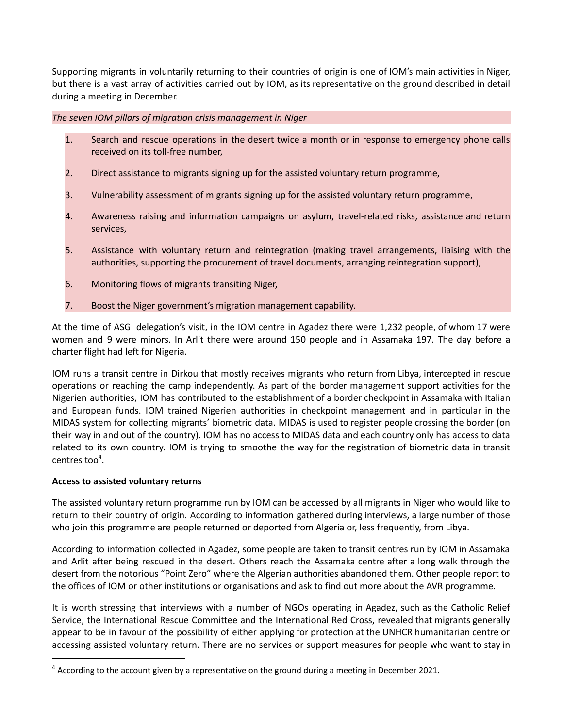Supporting migrants in voluntarily returning to their countries of origin is one of IOM's main activities in Niger, but there is a vast array of activities carried out by IOM, as its representative on the ground described in detail during a meeting in December.

*The seven IOM pillars of migration crisis management in Niger*

- 1. Search and rescue operations in the desert twice a month or in response to emergency phone calls received on its toll-free number,
- 2. Direct assistance to migrants signing up for the assisted voluntary return programme,
- 3. Vulnerability assessment of migrants signing up for the assisted voluntary return programme,
- 4. Awareness raising and information campaigns on asylum, travel-related risks, assistance and return services,
- 5. Assistance with voluntary return and reintegration (making travel arrangements, liaising with the authorities, supporting the procurement of travel documents, arranging reintegration support),
- 6. Monitoring flows of migrants transiting Niger,
- 7. Boost the Niger government's migration management capability.

At the time of ASGI delegation's visit, in the IOM centre in Agadez there were 1,232 people, of whom 17 were women and 9 were minors. In Arlit there were around 150 people and in Assamaka 197. The day before a charter flight had left for Nigeria.

IOM runs a transit centre in Dirkou that mostly receives migrants who return from Libya, intercepted in rescue operations or reaching the camp independently. As part of the border management support activities for the Nigerien authorities, IOM has contributed to the establishment of a border checkpoint in Assamaka with Italian and European funds. IOM trained Nigerien authorities in checkpoint management and in particular in the MIDAS system for collecting migrants' biometric data. MIDAS is used to register people crossing the border (on their way in and out of the country). IOM has no access to MIDAS data and each country only has access to data related to its own country. IOM is trying to smoothe the way for the registration of biometric data in transit centres too 4 .

# **Access to assisted voluntary returns**

The assisted voluntary return programme run by IOM can be accessed by all migrants in Niger who would like to return to their country of origin. According to information gathered during interviews, a large number of those who join this programme are people returned or deported from Algeria or, less frequently, from Libya.

According to information collected in Agadez, some people are taken to transit centres run by IOM in Assamaka and Arlit after being rescued in the desert. Others reach the Assamaka centre after a long walk through the desert from the notorious "Point Zero" where the Algerian authorities abandoned them. Other people report to the offices of IOM or other institutions or organisations and ask to find out more about the AVR programme.

It is worth stressing that interviews with a number of NGOs operating in Agadez, such as the Catholic Relief Service, the International Rescue Committee and the International Red Cross, revealed that migrants generally appear to be in favour of the possibility of either applying for protection at the UNHCR humanitarian centre or accessing assisted voluntary return. There are no services or support measures for people who want to stay in

 $4$  According to the account given by a representative on the ground during a meeting in December 2021.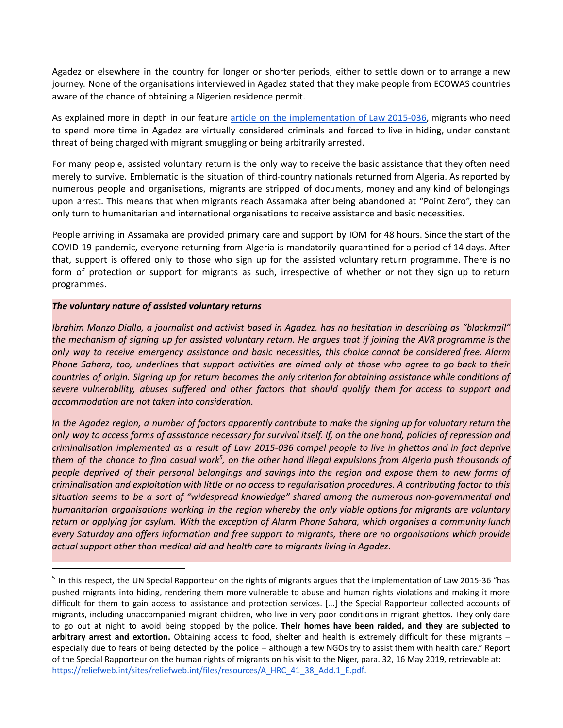Agadez or elsewhere in the country for longer or shorter periods, either to settle down or to arrange a new journey. None of the organisations interviewed in Agadez stated that they make people from ECOWAS countries aware of the chance of obtaining a Nigerien residence permit.

As explained more in depth in our feature article on the [implementation](https://sciabacaoruka.asgi.it/wp-content/uploads/2022/06/2-La-Legge-36-2015-EN-final.pdf) of Law 2015-036, migrants who need to spend more time in Agadez are virtually considered criminals and forced to live in hiding, under constant threat of being charged with migrant smuggling or being arbitrarily arrested.

For many people, assisted voluntary return is the only way to receive the basic assistance that they often need merely to survive. Emblematic is the situation of third-country nationals returned from Algeria. As reported by numerous people and organisations, migrants are stripped of documents, money and any kind of belongings upon arrest. This means that when migrants reach Assamaka after being abandoned at "Point Zero", they can only turn to humanitarian and international organisations to receive assistance and basic necessities.

People arriving in Assamaka are provided primary care and support by IOM for 48 hours. Since the start of the COVID-19 pandemic, everyone returning from Algeria is mandatorily quarantined for a period of 14 days. After that, support is offered only to those who sign up for the assisted voluntary return programme. There is no form of protection or support for migrants as such, irrespective of whether or not they sign up to return programmes.

#### *The voluntary nature of assisted voluntary returns*

Ibrahim Manzo Diallo, a journalist and activist based in Agadez, has no hesitation in describing as "blackmail" the mechanism of signing up for assisted voluntary return. He argues that if joining the AVR programme is the *only way to receive emergency assistance and basic necessities, this choice cannot be considered free. Alarm* Phone Sahara, too, underlines that support activities are aimed only at those who agree to go back to their countries of origin. Signing up for return becomes the only criterion for obtaining assistance while conditions of *severe vulnerability, abuses suffered and other factors that should qualify them for access to support and accommodation are not taken into consideration.*

In the Agadez region, a number of factors apparently contribute to make the signing up for voluntary return the only way to access forms of assistance necessary for survival itself. If, on the one hand, policies of repression and criminalisation implemented as a result of Law 2015-036 compel people to live in ghettos and in fact deprive them of the chance to find casual work $^5$ , on the other hand illegal expulsions from Algeria push thousands of people deprived of their personal belongings and savings into the region and expose them to new forms of criminalisation and exploitation with little or no access to regularisation procedures. A contributing factor to this *situation seems to be a sort of "widespread knowledge" shared among the numerous non-governmental and humanitarian organisations working in the region whereby the only viable options for migrants are voluntary* return or applying for asylum. With the exception of Alarm Phone Sahara, which organises a community lunch *every Saturday and offers information and free support to migrants, there are no organisations which provide actual support other than medical aid and health care to migrants living in Agadez.*

<sup>&</sup>lt;sup>5</sup> In this respect, the UN Special Rapporteur on the rights of migrants argues that the implementation of Law 2015-36 "has pushed migrants into hiding, rendering them more vulnerable to abuse and human rights violations and making it more difficult for them to gain access to assistance and protection services. [...] the Special Rapporteur collected accounts of migrants, including unaccompanied migrant children, who live in very poor conditions in migrant ghettos. They only dare to go out at night to avoid being stopped by the police. **Their homes have been raided, and they are subjected to arbitrary arrest and extortion.** Obtaining access to food, shelter and health is extremely difficult for these migrants – especially due to fears of being detected by the police – although a few NGOs try to assist them with health care." Report of the Special Rapporteur on the human rights of migrants on his visit to the Niger, para. 32, 16 May 2019, retrievable at: https://reliefweb.int/sites/reliefweb.int/files/resources/A\_HRC\_41\_38\_Add.1\_E.pdf.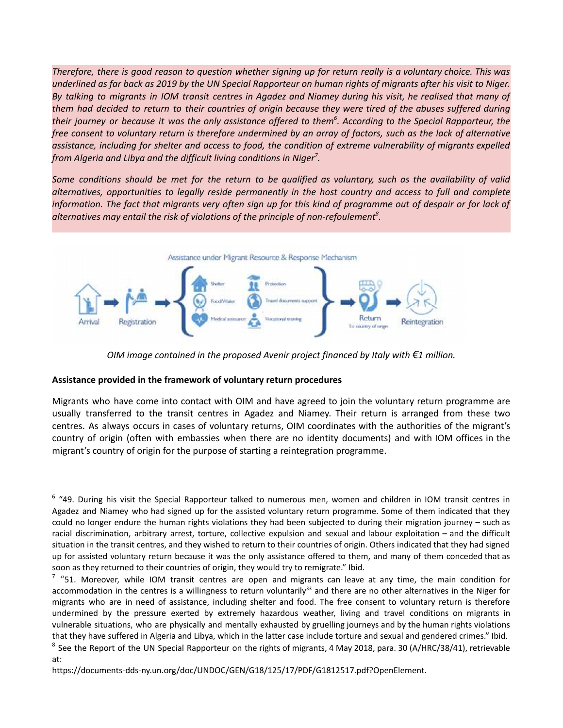Therefore, there is good reason to question whether signing up for return really is a voluntary choice. This was underlined as far back as 2019 by the UN Special Rapporteur on human rights of migrants after his visit to Niger. By talking to migrants in IOM transit centres in Agadez and Niamey during his visit, he realised that many of them had decided to return to their countries of origin because they were tired of the abuses suffered during their journey or because it was the only assistance offered to them $^6$ . According to the Special Rapporteur, the free consent to voluntary return is therefore undermined by an array of factors, such as the lack of alternative assistance, including for shelter and access to food, the condition of extreme vulnerability of migrants expelled *from Algeria and Libya and the difficult living conditions in Niger 7 .*

Some conditions should be met for the return to be qualified as voluntary, such as the availability of valid *alternatives, opportunities to legally reside permanently in the host country and access to full and complete* information. The fact that migrants very often sign up for this kind of programme out of despair or for lack of *alternatives may entail the risk of violations of the principle of non-refoulement 8 .*



*OIM image contained in the proposed Avenir project financed by Italy with €1 million.*

# **Assistance provided in the framework of voluntary return procedures**

Migrants who have come into contact with OIM and have agreed to join the voluntary return programme are usually transferred to the transit centres in Agadez and Niamey. Their return is arranged from these two centres. As always occurs in cases of voluntary returns, OIM coordinates with the authorities of the migrant's country of origin (often with embassies when there are no identity documents) and with IOM offices in the migrant's country of origin for the purpose of starting a reintegration programme.

<sup>&</sup>lt;sup>6</sup> "49. During his visit the Special Rapporteur talked to numerous men, women and children in IOM transit centres in Agadez and Niamey who had signed up for the assisted voluntary return programme. Some of them indicated that they could no longer endure the human rights violations they had been subjected to during their migration journey – such as racial discrimination, arbitrary arrest, torture, collective expulsion and sexual and labour exploitation – and the difficult situation in the transit centres, and they wished to return to their countries of origin. Others indicated that they had signed up for assisted voluntary return because it was the only assistance offered to them, and many of them conceded that as soon as they returned to their countries of origin, they would try to remigrate." Ibid.

 $7$  "51. Moreover, while IOM transit centres are open and migrants can leave at any time, the main condition for accommodation in the centres is a willingness to return voluntarily<sup>33</sup> and there are no other alternatives in the Niger for migrants who are in need of assistance, including shelter and food. The free consent to voluntary return is therefore undermined by the pressure exerted by extremely hazardous weather, living and travel conditions on migrants in vulnerable situations, who are physically and mentally exhausted by gruelling journeys and by the human rights violations that they have suffered in Algeria and Libya, which in the latter case include torture and sexual and gendered crimes." Ibid.

 $8$  See the Report of the UN Special Rapporteur on the rights of migrants, 4 May 2018, para. 30 (A/HRC/38/41), retrievable at:

[https://documents-dds-ny.un.org/doc/UNDOC/GEN/G18/125/17/PDF/G1812517.pdf?OpenElement.](https://documents-dds-ny.un.org/doc/UNDOC/GEN/G18/125/17/PDF/G1812517.pdf?OpenElement)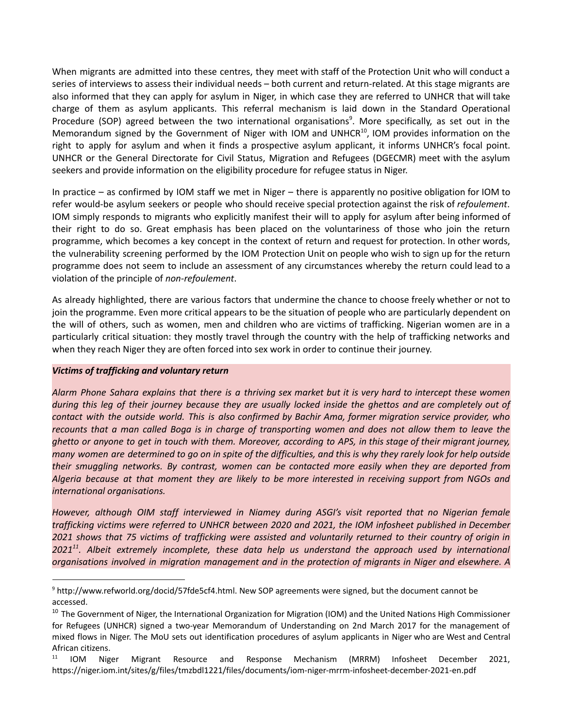When migrants are admitted into these centres, they meet with staff of the Protection Unit who will conduct a series of interviews to assess their individual needs – both current and return-related. At this stage migrants are also informed that they can apply for asylum in Niger, in which case they are referred to UNHCR that will take charge of them as asylum applicants. This referral mechanism is laid down in the Standard Operational Procedure (SOP) agreed between the two international organisations<sup>9</sup>. More specifically, as set out in the Memorandum signed by the Government of Niger with IOM and UNHCR<sup>10</sup>, IOM provides information on the right to apply for asylum and when it finds a prospective asylum applicant, it informs UNHCR's focal point. UNHCR or the General Directorate for Civil Status, Migration and Refugees (DGECMR) meet with the asylum seekers and provide information on the eligibility procedure for refugee status in Niger.

In practice – as confirmed by IOM staff we met in Niger – there is apparently no positive obligation for IOM to refer would-be asylum seekers or people who should receive special protection against the risk of *refoulement*. IOM simply responds to migrants who explicitly manifest their will to apply for asylum after being informed of their right to do so. Great emphasis has been placed on the voluntariness of those who join the return programme, which becomes a key concept in the context of return and request for protection. In other words, the vulnerability screening performed by the IOM Protection Unit on people who wish to sign up for the return programme does not seem to include an assessment of any circumstances whereby the return could lead to a violation of the principle of *non-refoulement*.

As already highlighted, there are various factors that undermine the chance to choose freely whether or not to join the programme. Even more critical appears to be the situation of people who are particularly dependent on the will of others, such as women, men and children who are victims of trafficking. Nigerian women are in a particularly critical situation: they mostly travel through the country with the help of trafficking networks and when they reach Niger they are often forced into sex work in order to continue their journey.

# *Victims of trafficking and voluntary return*

Alarm Phone Sahara explains that there is a thriving sex market but it is very hard to intercept these women during this leg of their journey because they are usually locked inside the ghettos and are completely out of contact with the outside world. This is also confirmed by Bachir Ama, former migration service provider, who recounts that a man called Boga is in charge of transporting women and does not allow them to leave the ghetto or anyone to get in touch with them. Moreover, according to APS, in this stage of their migrant journey, many women are determined to go on in spite of the difficulties, and this is why they rarely look for help outside *their smuggling networks. By contrast, women can be contacted more easily when they are deported from* Algeria because at that moment they are likely to be more interested in receiving support from NGOs and *international organisations.*

*However, although OIM staff interviewed in Niamey during ASGI's visit reported that no Nigerian female trafficking victims were referred to UNHCR between 2020 and 2021, the IOM infosheet published in December* 2021 shows that 75 victims of trafficking were assisted and voluntarily returned to their country of origin in *2021 11 . Albeit extremely incomplete, these data help us understand the approach used by international organisations involved in migration management and in the protection of migrants in Niger and elsewhere. A*

<sup>9</sup> http://www.refworld.org/docid/57fde5cf4.html. New SOP agreements were signed, but the document cannot be accessed.

<sup>&</sup>lt;sup>10</sup> The Government of Niger, the International Organization for Migration (IOM) and the United Nations High Commissioner for Refugees (UNHCR) signed a two-year Memorandum of Understanding on 2nd March 2017 for the management of mixed flows in Niger. The MoU sets out identification procedures of asylum applicants in Niger who are West and Central African citizens.

<sup>&</sup>lt;sup>11</sup> IOM Niger Migrant Resource and Response Mechanism (MRRM) Infosheet December 2021, <https://niger.iom.int/sites/g/files/tmzbdl1221/files/documents/iom-niger-mrrm-infosheet-december-2021-en.pdf>